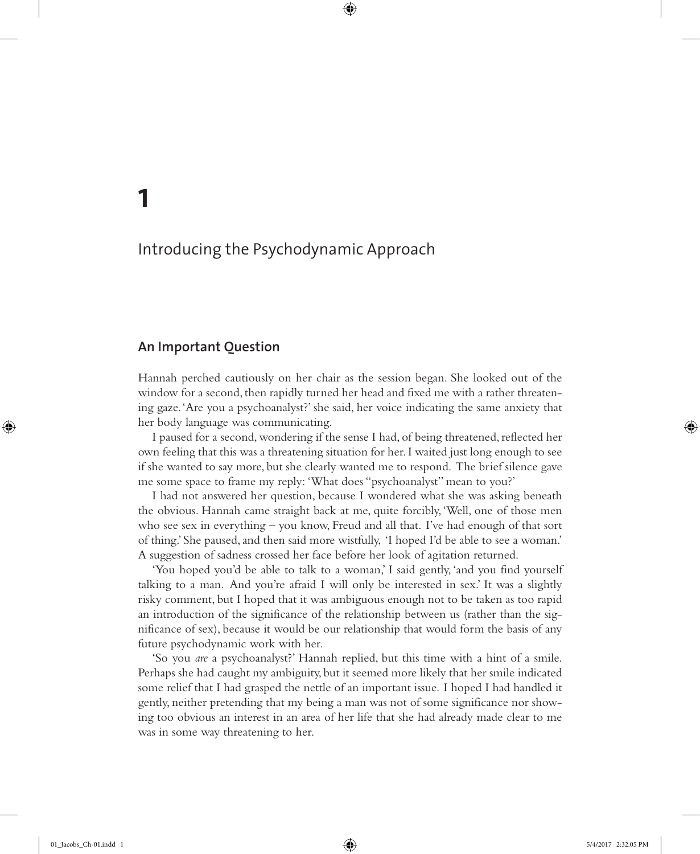### **An Important Question**

**1**

Hannah perched cautiously on her chair as the session began. She looked out of the window for a second, then rapidly turned her head and fixed me with a rather threatening gaze. 'Are you a psychoanalyst?' she said, her voice indicating the same anxiety that her body language was communicating.

⊕

I paused for a second, wondering if the sense I had, of being threatened, reflected her own feeling that this was a threatening situation for her. I waited just long enough to see if she wanted to say more, but she clearly wanted me to respond. The brief silence gave me some space to frame my reply: 'What does "psychoanalyst" mean to you?'

I had not answered her question, because I wondered what she was asking beneath the obvious. Hannah came straight back at me, quite forcibly, 'Well, one of those men who see sex in everything – you know, Freud and all that. I've had enough of that sort of thing.' She paused, and then said more wistfully, 'I hoped I'd be able to see a woman.' A suggestion of sadness crossed her face before her look of agitation returned.

'You hoped you'd be able to talk to a woman,' I said gently, 'and you find yourself talking to a man. And you're afraid I will only be interested in sex. It was a slightly risky comment, but I hoped that it was ambiguous enough not to be taken as too rapid an introduction of the significance of the relationship between us (rather than the significance of sex), because it would be our relationship that would form the basis of any future psychodynamic work with her.

'So you *are* a psychoanalyst?' Hannah replied, but this time with a hint of a smile. Perhaps she had caught my ambiguity, but it seemed more likely that her smile indicated some relief that I had grasped the nettle of an important issue. I hoped I had handled it gently, neither pretending that my being a man was not of some significance nor showing too obvious an interest in an area of her life that she had already made clear to me was in some way threatening to her.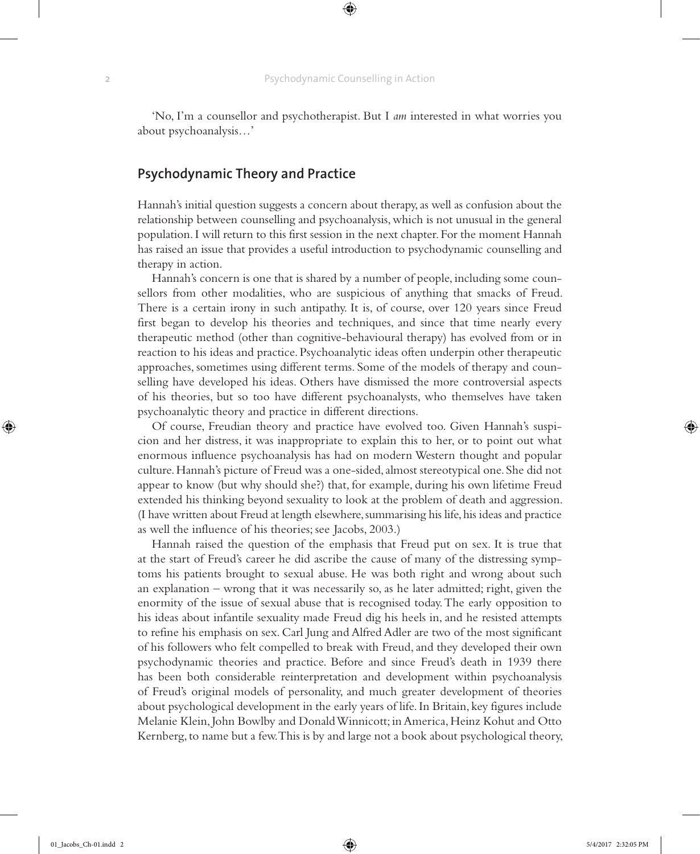'No, I'm a counsellor and psychotherapist. But I *am* interested in what worries you about psychoanalysis…'

# **Psychodynamic Theory and Practice**

Hannah's initial question suggests a concern about therapy, as well as confusion about the relationship between counselling and psychoanalysis, which is not unusual in the general population. I will return to this first session in the next chapter. For the moment Hannah has raised an issue that provides a useful introduction to psychodynamic counselling and therapy in action.

Hannah's concern is one that is shared by a number of people, including some counsellors from other modalities, who are suspicious of anything that smacks of Freud. There is a certain irony in such antipathy. It is, of course, over 120 years since Freud first began to develop his theories and techniques, and since that time nearly every therapeutic method (other than cognitive-behavioural therapy) has evolved from or in reaction to his ideas and practice. Psychoanalytic ideas often underpin other therapeutic approaches, sometimes using different terms. Some of the models of therapy and counselling have developed his ideas. Others have dismissed the more controversial aspects of his theories, but so too have different psychoanalysts, who themselves have taken psychoanalytic theory and practice in different directions.

Of course, Freudian theory and practice have evolved too. Given Hannah's suspicion and her distress, it was inappropriate to explain this to her, or to point out what enormous influence psychoanalysis has had on modern Western thought and popular culture. Hannah's picture of Freud was a one-sided, almost stereotypical one. She did not appear to know (but why should she?) that, for example, during his own lifetime Freud extended his thinking beyond sexuality to look at the problem of death and aggression. (I have written about Freud at length elsewhere, summarising his life, his ideas and practice as well the influence of his theories; see Jacobs, 2003.)

Hannah raised the question of the emphasis that Freud put on sex. It is true that at the start of Freud's career he did ascribe the cause of many of the distressing symptoms his patients brought to sexual abuse. He was both right and wrong about such an explanation – wrong that it was necessarily so, as he later admitted; right, given the enormity of the issue of sexual abuse that is recognised today. The early opposition to his ideas about infantile sexuality made Freud dig his heels in, and he resisted attempts to refine his emphasis on sex. Carl Jung and Alfred Adler are two of the most significant of his followers who felt compelled to break with Freud, and they developed their own psychodynamic theories and practice. Before and since Freud's death in 1939 there has been both considerable reinterpretation and development within psychoanalysis of Freud's original models of personality, and much greater development of theories about psychological development in the early years of life. In Britain, key figures include Melanie Klein, John Bowlby and Donald Winnicott; in America, Heinz Kohut and Otto Kernberg, to name but a few. This is by and large not a book about psychological theory,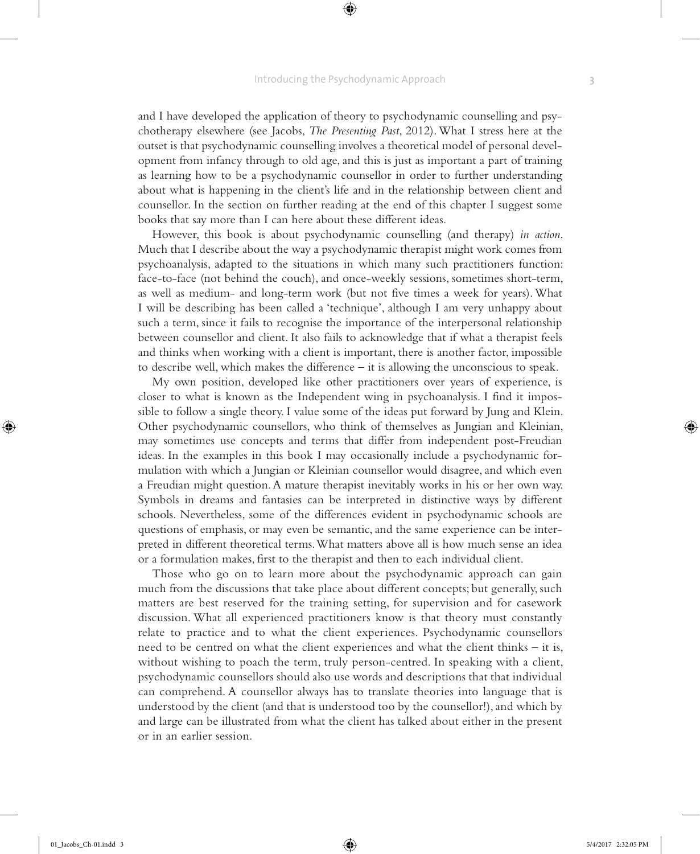and I have developed the application of theory to psychodynamic counselling and psychotherapy elsewhere (see Jacobs, *The Presenting Past*, 2012). What I stress here at the outset is that psychodynamic counselling involves a theoretical model of personal development from infancy through to old age, and this is just as important a part of training as learning how to be a psychodynamic counsellor in order to further understanding about what is happening in the client's life and in the relationship between client and counsellor. In the section on further reading at the end of this chapter I suggest some books that say more than I can here about these different ideas.

However, this book is about psychodynamic counselling (and therapy) *in action*. Much that I describe about the way a psychodynamic therapist might work comes from psychoanalysis, adapted to the situations in which many such practitioners function: face-to-face (not behind the couch), and once-weekly sessions, sometimes short-term, as well as medium- and long-term work (but not five times a week for years). What I will be describing has been called a 'technique', although I am very unhappy about such a term, since it fails to recognise the importance of the interpersonal relationship between counsellor and client. It also fails to acknowledge that if what a therapist feels and thinks when working with a client is important, there is another factor, impossible to describe well, which makes the difference – it is allowing the unconscious to speak.

My own position, developed like other practitioners over years of experience, is closer to what is known as the Independent wing in psychoanalysis. I find it impossible to follow a single theory. I value some of the ideas put forward by Jung and Klein. Other psychodynamic counsellors, who think of themselves as Jungian and Kleinian, may sometimes use concepts and terms that differ from independent post-Freudian ideas. In the examples in this book I may occasionally include a psychodynamic formulation with which a Jungian or Kleinian counsellor would disagree, and which even a Freudian might question. A mature therapist inevitably works in his or her own way. Symbols in dreams and fantasies can be interpreted in distinctive ways by different schools. Nevertheless, some of the differences evident in psychodynamic schools are questions of emphasis, or may even be semantic, and the same experience can be interpreted in different theoretical terms. What matters above all is how much sense an idea or a formulation makes, first to the therapist and then to each individual client.

Those who go on to learn more about the psychodynamic approach can gain much from the discussions that take place about different concepts; but generally, such matters are best reserved for the training setting, for supervision and for casework discussion. What all experienced practitioners know is that theory must constantly relate to practice and to what the client experiences. Psychodynamic counsellors need to be centred on what the client experiences and what the client thinks – it is, without wishing to poach the term, truly person-centred. In speaking with a client, psychodynamic counsellors should also use words and descriptions that that individual can comprehend. A counsellor always has to translate theories into language that is understood by the client (and that is understood too by the counsellor!), and which by and large can be illustrated from what the client has talked about either in the present or in an earlier session.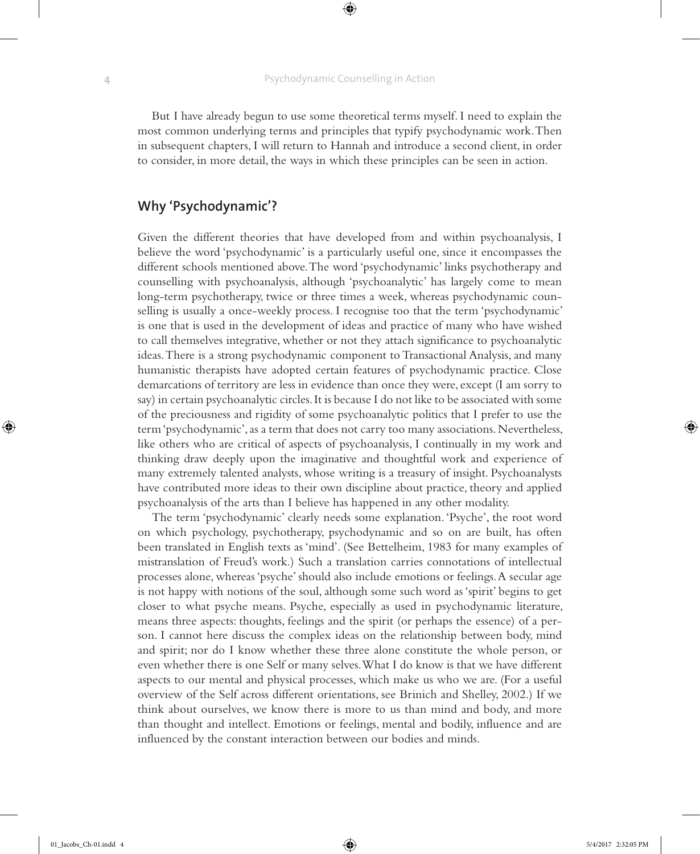But I have already begun to use some theoretical terms myself. I need to explain the most common underlying terms and principles that typify psychodynamic work. Then in subsequent chapters, I will return to Hannah and introduce a second client, in order to consider, in more detail, the ways in which these principles can be seen in action.

# **Why 'Psychodynamic'?**

Given the different theories that have developed from and within psychoanalysis, I believe the word 'psychodynamic' is a particularly useful one, since it encompasses the different schools mentioned above. The word 'psychodynamic' links psychotherapy and counselling with psychoanalysis, although 'psychoanalytic' has largely come to mean long-term psychotherapy, twice or three times a week, whereas psychodynamic counselling is usually a once-weekly process. I recognise too that the term 'psychodynamic' is one that is used in the development of ideas and practice of many who have wished to call themselves integrative, whether or not they attach significance to psychoanalytic ideas. There is a strong psychodynamic component to Transactional Analysis, and many humanistic therapists have adopted certain features of psychodynamic practice. Close demarcations of territory are less in evidence than once they were, except (I am sorry to say) in certain psychoanalytic circles. It is because I do not like to be associated with some of the preciousness and rigidity of some psychoanalytic politics that I prefer to use the term 'psychodynamic', as a term that does not carry too many associations. Nevertheless, like others who are critical of aspects of psychoanalysis, I continually in my work and thinking draw deeply upon the imaginative and thoughtful work and experience of many extremely talented analysts, whose writing is a treasury of insight. Psychoanalysts have contributed more ideas to their own discipline about practice, theory and applied psychoanalysis of the arts than I believe has happened in any other modality.

The term 'psychodynamic' clearly needs some explanation. 'Psyche', the root word on which psychology, psychotherapy, psychodynamic and so on are built, has often been translated in English texts as 'mind'. (See Bettelheim, 1983 for many examples of mistranslation of Freud's work.) Such a translation carries connotations of intellectual processes alone, whereas 'psyche' should also include emotions or feelings. A secular age is not happy with notions of the soul, although some such word as 'spirit' begins to get closer to what psyche means. Psyche, especially as used in psychodynamic literature, means three aspects: thoughts, feelings and the spirit (or perhaps the essence) of a person. I cannot here discuss the complex ideas on the relationship between body, mind and spirit; nor do I know whether these three alone constitute the whole person, or even whether there is one Self or many selves. What I do know is that we have different aspects to our mental and physical processes, which make us who we are. (For a useful overview of the Self across different orientations, see Brinich and Shelley, 2002.) If we think about ourselves, we know there is more to us than mind and body, and more than thought and intellect. Emotions or feelings, mental and bodily, influence and are influenced by the constant interaction between our bodies and minds.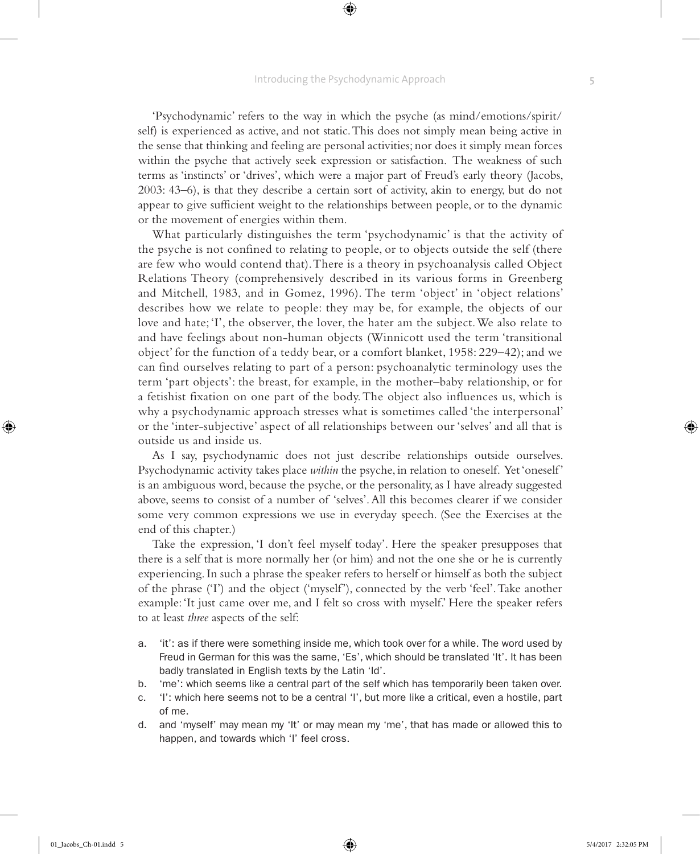⊕

'Psychodynamic' refers to the way in which the psyche (as mind/emotions/spirit/ self) is experienced as active, and not static. This does not simply mean being active in the sense that thinking and feeling are personal activities; nor does it simply mean forces within the psyche that actively seek expression or satisfaction. The weakness of such terms as 'instincts' or 'drives', which were a major part of Freud's early theory (Jacobs, 2003: 43–6), is that they describe a certain sort of activity, akin to energy, but do not appear to give sufficient weight to the relationships between people, or to the dynamic or the movement of energies within them.

What particularly distinguishes the term 'psychodynamic' is that the activity of the psyche is not confined to relating to people, or to objects outside the self (there are few who would contend that). There is a theory in psychoanalysis called Object Relations Theory (comprehensively described in its various forms in Greenberg and Mitchell, 1983, and in Gomez, 1996). The term 'object' in 'object relations' describes how we relate to people: they may be, for example, the objects of our love and hate; 'I', the observer, the lover, the hater am the subject. We also relate to and have feelings about non-human objects (Winnicott used the term 'transitional object' for the function of a teddy bear, or a comfort blanket, 1958: 229–42); and we can find ourselves relating to part of a person: psychoanalytic terminology uses the term 'part objects': the breast, for example, in the mother–baby relationship, or for a fetishist fixation on one part of the body. The object also influences us, which is why a psychodynamic approach stresses what is sometimes called 'the interpersonal' or the 'inter-subjective' aspect of all relationships between our 'selves' and all that is outside us and inside us.

As I say, psychodynamic does not just describe relationships outside ourselves. Psychodynamic activity takes place *within* the psyche, in relation to oneself. Yet 'oneself' is an ambiguous word, because the psyche, or the personality, as I have already suggested above, seems to consist of a number of 'selves'. All this becomes clearer if we consider some very common expressions we use in everyday speech. (See the Exercises at the end of this chapter.)

Take the expression, 'I don't feel myself today'. Here the speaker presupposes that there is a self that is more normally her (or him) and not the one she or he is currently experiencing. In such a phrase the speaker refers to herself or himself as both the subject of the phrase ('I') and the object ('myself'), connected by the verb 'feel'. Take another example: 'It just came over me, and I felt so cross with myself.' Here the speaker refers to at least *three* aspects of the self:

- a. 'it': as if there were something inside me, which took over for a while. The word used by Freud in German for this was the same, 'Es', which should be translated 'It'. It has been badly translated in English texts by the Latin 'Id'.
- b. 'me': which seems like a central part of the self which has temporarily been taken over.
- c. 'I': which here seems not to be a central 'I', but more like a critical, even a hostile, part of me.
- d. and 'myself' may mean my 'It' or may mean my 'me', that has made or allowed this to happen, and towards which 'I' feel cross.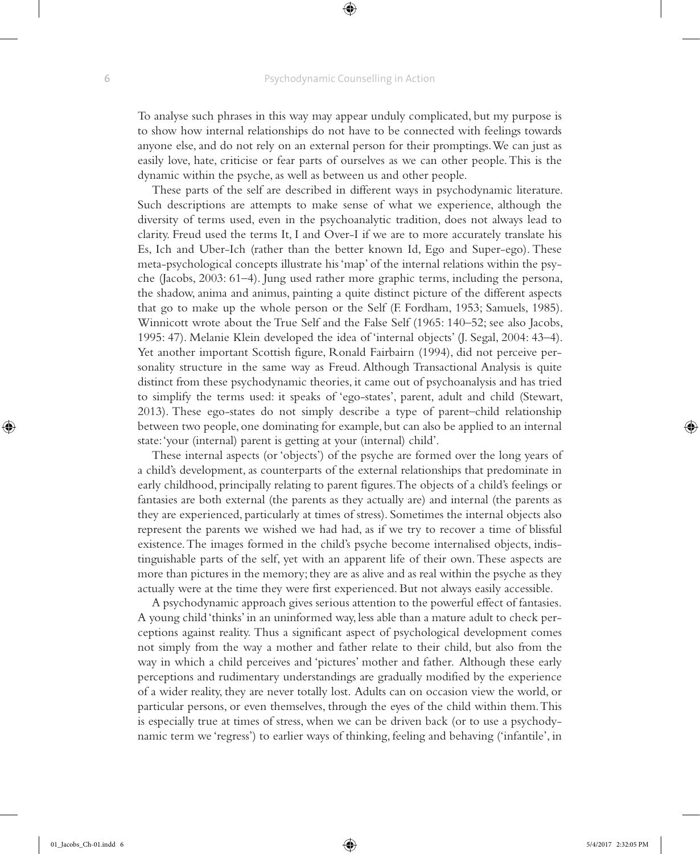To analyse such phrases in this way may appear unduly complicated, but my purpose is to show how internal relationships do not have to be connected with feelings towards anyone else, and do not rely on an external person for their promptings. We can just as easily love, hate, criticise or fear parts of ourselves as we can other people. This is the dynamic within the psyche, as well as between us and other people.

These parts of the self are described in different ways in psychodynamic literature. Such descriptions are attempts to make sense of what we experience, although the diversity of terms used, even in the psychoanalytic tradition, does not always lead to clarity. Freud used the terms It, I and Over-I if we are to more accurately translate his Es, Ich and Uber-Ich (rather than the better known Id, Ego and Super-ego). These meta-psychological concepts illustrate his 'map' of the internal relations within the psyche (Jacobs, 2003: 61–4). Jung used rather more graphic terms, including the persona, the shadow, anima and animus, painting a quite distinct picture of the different aspects that go to make up the whole person or the Self (F. Fordham, 1953; Samuels, 1985). Winnicott wrote about the True Self and the False Self (1965: 140–52; see also Jacobs, 1995: 47). Melanie Klein developed the idea of 'internal objects' (J. Segal, 2004: 43–4). Yet another important Scottish figure, Ronald Fairbairn (1994), did not perceive personality structure in the same way as Freud. Although Transactional Analysis is quite distinct from these psychodynamic theories, it came out of psychoanalysis and has tried to simplify the terms used: it speaks of 'ego-states', parent, adult and child (Stewart, 2013). These ego-states do not simply describe a type of parent–child relationship between two people, one dominating for example, but can also be applied to an internal state: 'your (internal) parent is getting at your (internal) child'.

These internal aspects (or 'objects') of the psyche are formed over the long years of a child's development, as counterparts of the external relationships that predominate in early childhood, principally relating to parent figures. The objects of a child's feelings or fantasies are both external (the parents as they actually are) and internal (the parents as they are experienced, particularly at times of stress). Sometimes the internal objects also represent the parents we wished we had had, as if we try to recover a time of blissful existence. The images formed in the child's psyche become internalised objects, indistinguishable parts of the self, yet with an apparent life of their own. These aspects are more than pictures in the memory; they are as alive and as real within the psyche as they actually were at the time they were first experienced. But not always easily accessible.

A psychodynamic approach gives serious attention to the powerful effect of fantasies. A young child 'thinks' in an uninformed way, less able than a mature adult to check perceptions against reality. Thus a significant aspect of psychological development comes not simply from the way a mother and father relate to their child, but also from the way in which a child perceives and 'pictures' mother and father. Although these early perceptions and rudimentary understandings are gradually modified by the experience of a wider reality, they are never totally lost. Adults can on occasion view the world, or particular persons, or even themselves, through the eyes of the child within them. This is especially true at times of stress, when we can be driven back (or to use a psychodynamic term we 'regress') to earlier ways of thinking, feeling and behaving ('infantile', in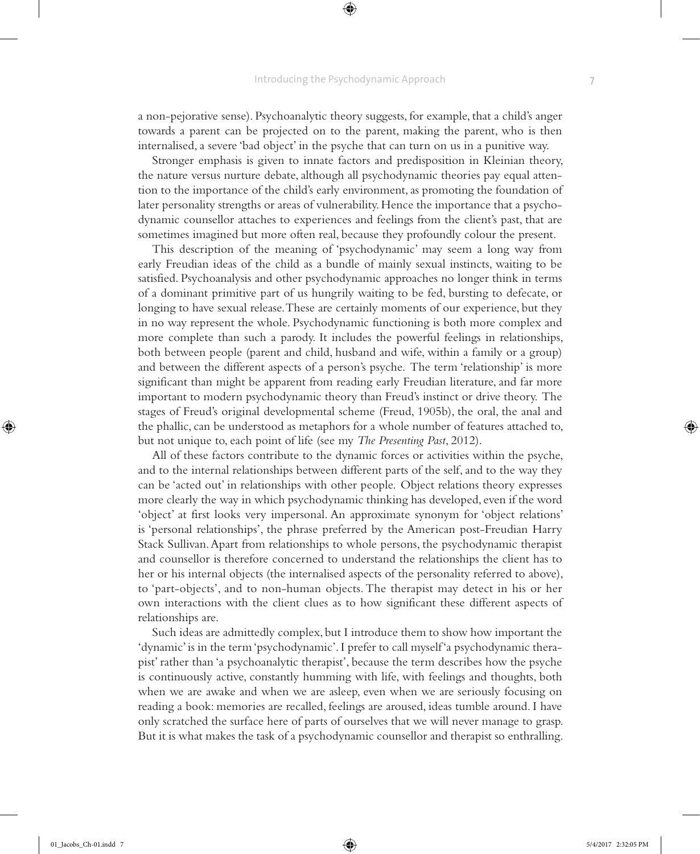⊕

a non-pejorative sense). Psychoanalytic theory suggests, for example, that a child's anger towards a parent can be projected on to the parent, making the parent, who is then internalised, a severe 'bad object' in the psyche that can turn on us in a punitive way.

Stronger emphasis is given to innate factors and predisposition in Kleinian theory, the nature versus nurture debate, although all psychodynamic theories pay equal attention to the importance of the child's early environment, as promoting the foundation of later personality strengths or areas of vulnerability. Hence the importance that a psychodynamic counsellor attaches to experiences and feelings from the client's past, that are sometimes imagined but more often real, because they profoundly colour the present.

This description of the meaning of 'psychodynamic' may seem a long way from early Freudian ideas of the child as a bundle of mainly sexual instincts, waiting to be satisfied. Psychoanalysis and other psychodynamic approaches no longer think in terms of a dominant primitive part of us hungrily waiting to be fed, bursting to defecate, or longing to have sexual release. These are certainly moments of our experience, but they in no way represent the whole. Psychodynamic functioning is both more complex and more complete than such a parody. It includes the powerful feelings in relationships, both between people (parent and child, husband and wife, within a family or a group) and between the different aspects of a person's psyche. The term 'relationship' is more significant than might be apparent from reading early Freudian literature, and far more important to modern psychodynamic theory than Freud's instinct or drive theory. The stages of Freud's original developmental scheme (Freud, 1905b), the oral, the anal and the phallic, can be understood as metaphors for a whole number of features attached to, but not unique to, each point of life (see my *The Presenting Past*, 2012).

All of these factors contribute to the dynamic forces or activities within the psyche, and to the internal relationships between different parts of the self, and to the way they can be 'acted out' in relationships with other people. Object relations theory expresses more clearly the way in which psychodynamic thinking has developed, even if the word 'object' at first looks very impersonal. An approximate synonym for 'object relations' is 'personal relationships', the phrase preferred by the American post-Freudian Harry Stack Sullivan. Apart from relationships to whole persons, the psychodynamic therapist and counsellor is therefore concerned to understand the relationships the client has to her or his internal objects (the internalised aspects of the personality referred to above), to 'part-objects', and to non-human objects. The therapist may detect in his or her own interactions with the client clues as to how significant these different aspects of relationships are.

Such ideas are admittedly complex, but I introduce them to show how important the 'dynamic' is in the term 'psychodynamic'. I prefer to call myself 'a psychodynamic therapist' rather than 'a psychoanalytic therapist', because the term describes how the psyche is continuously active, constantly humming with life, with feelings and thoughts, both when we are awake and when we are asleep, even when we are seriously focusing on reading a book: memories are recalled, feelings are aroused, ideas tumble around. I have only scratched the surface here of parts of ourselves that we will never manage to grasp. But it is what makes the task of a psychodynamic counsellor and therapist so enthralling.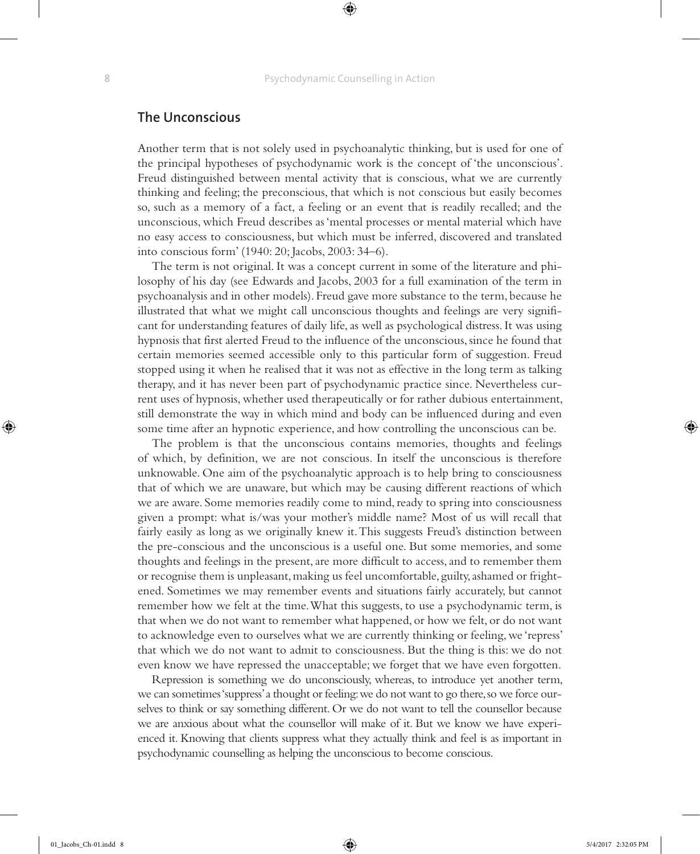### **The Unconscious**

Another term that is not solely used in psychoanalytic thinking, but is used for one of the principal hypotheses of psychodynamic work is the concept of 'the unconscious'. Freud distinguished between mental activity that is conscious, what we are currently thinking and feeling; the preconscious, that which is not conscious but easily becomes so, such as a memory of a fact, a feeling or an event that is readily recalled; and the unconscious, which Freud describes as 'mental processes or mental material which have no easy access to consciousness, but which must be inferred, discovered and translated into conscious form' (1940: 20; Jacobs, 2003: 34–6).

The term is not original. It was a concept current in some of the literature and philosophy of his day (see Edwards and Jacobs, 2003 for a full examination of the term in psychoanalysis and in other models). Freud gave more substance to the term, because he illustrated that what we might call unconscious thoughts and feelings are very significant for understanding features of daily life, as well as psychological distress. It was using hypnosis that first alerted Freud to the influence of the unconscious, since he found that certain memories seemed accessible only to this particular form of suggestion. Freud stopped using it when he realised that it was not as effective in the long term as talking therapy, and it has never been part of psychodynamic practice since. Nevertheless current uses of hypnosis, whether used therapeutically or for rather dubious entertainment, still demonstrate the way in which mind and body can be influenced during and even some time after an hypnotic experience, and how controlling the unconscious can be.

The problem is that the unconscious contains memories, thoughts and feelings of which, by definition, we are not conscious. In itself the unconscious is therefore unknowable. One aim of the psychoanalytic approach is to help bring to consciousness that of which we are unaware, but which may be causing different reactions of which we are aware. Some memories readily come to mind, ready to spring into consciousness given a prompt: what is/was your mother's middle name? Most of us will recall that fairly easily as long as we originally knew it. This suggests Freud's distinction between the pre-conscious and the unconscious is a useful one. But some memories, and some thoughts and feelings in the present, are more difficult to access, and to remember them or recognise them is unpleasant, making us feel uncomfortable, guilty, ashamed or frightened. Sometimes we may remember events and situations fairly accurately, but cannot remember how we felt at the time. What this suggests, to use a psychodynamic term, is that when we do not want to remember what happened, or how we felt, or do not want to acknowledge even to ourselves what we are currently thinking or feeling, we 'repress' that which we do not want to admit to consciousness. But the thing is this: we do not even know we have repressed the unacceptable; we forget that we have even forgotten.

Repression is something we do unconsciously, whereas, to introduce yet another term, we can sometimes 'suppress' a thought or feeling: we do not want to go there, so we force ourselves to think or say something different. Or we do not want to tell the counsellor because we are anxious about what the counsellor will make of it. But we know we have experienced it. Knowing that clients suppress what they actually think and feel is as important in psychodynamic counselling as helping the unconscious to become conscious.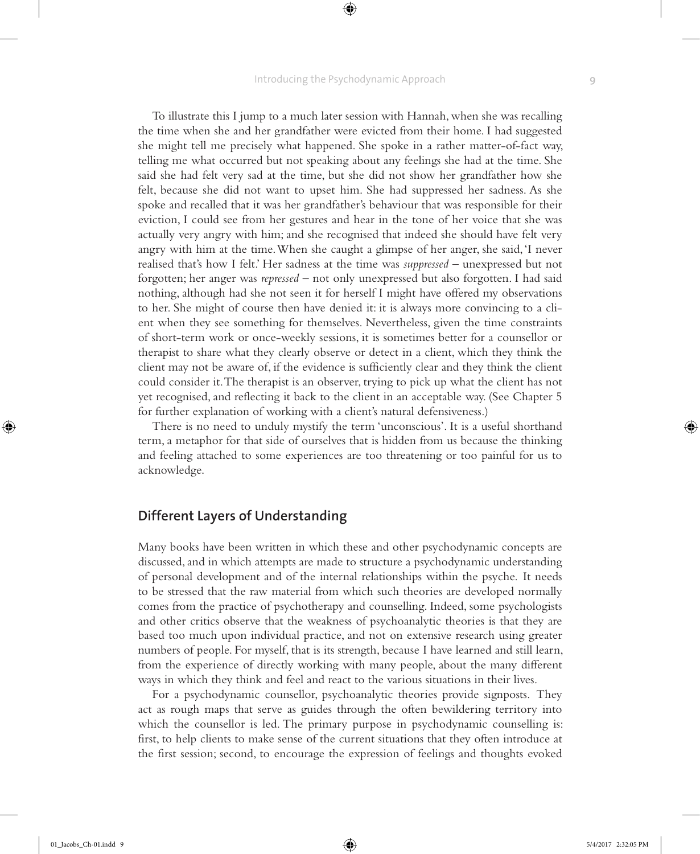⊕

To illustrate this I jump to a much later session with Hannah, when she was recalling the time when she and her grandfather were evicted from their home. I had suggested she might tell me precisely what happened. She spoke in a rather matter-of-fact way, telling me what occurred but not speaking about any feelings she had at the time. She said she had felt very sad at the time, but she did not show her grandfather how she felt, because she did not want to upset him. She had suppressed her sadness. As she spoke and recalled that it was her grandfather's behaviour that was responsible for their eviction, I could see from her gestures and hear in the tone of her voice that she was actually very angry with him; and she recognised that indeed she should have felt very angry with him at the time. When she caught a glimpse of her anger, she said, 'I never realised that's how I felt.' Her sadness at the time was *suppressed* – unexpressed but not forgotten; her anger was *repressed* – not only unexpressed but also forgotten. I had said nothing, although had she not seen it for herself I might have offered my observations to her. She might of course then have denied it: it is always more convincing to a client when they see something for themselves. Nevertheless, given the time constraints of short-term work or once-weekly sessions, it is sometimes better for a counsellor or therapist to share what they clearly observe or detect in a client, which they think the client may not be aware of, if the evidence is sufficiently clear and they think the client could consider it. The therapist is an observer, trying to pick up what the client has not yet recognised, and reflecting it back to the client in an acceptable way. (See Chapter 5 for further explanation of working with a client's natural defensiveness.)

There is no need to unduly mystify the term 'unconscious'. It is a useful shorthand term, a metaphor for that side of ourselves that is hidden from us because the thinking and feeling attached to some experiences are too threatening or too painful for us to acknowledge.

## **Different Layers of Understanding**

Many books have been written in which these and other psychodynamic concepts are discussed, and in which attempts are made to structure a psychodynamic understanding of personal development and of the internal relationships within the psyche. It needs to be stressed that the raw material from which such theories are developed normally comes from the practice of psychotherapy and counselling. Indeed, some psychologists and other critics observe that the weakness of psychoanalytic theories is that they are based too much upon individual practice, and not on extensive research using greater numbers of people. For myself, that is its strength, because I have learned and still learn, from the experience of directly working with many people, about the many different ways in which they think and feel and react to the various situations in their lives.

For a psychodynamic counsellor, psychoanalytic theories provide signposts. They act as rough maps that serve as guides through the often bewildering territory into which the counsellor is led. The primary purpose in psychodynamic counselling is: first, to help clients to make sense of the current situations that they often introduce at the first session; second, to encourage the expression of feelings and thoughts evoked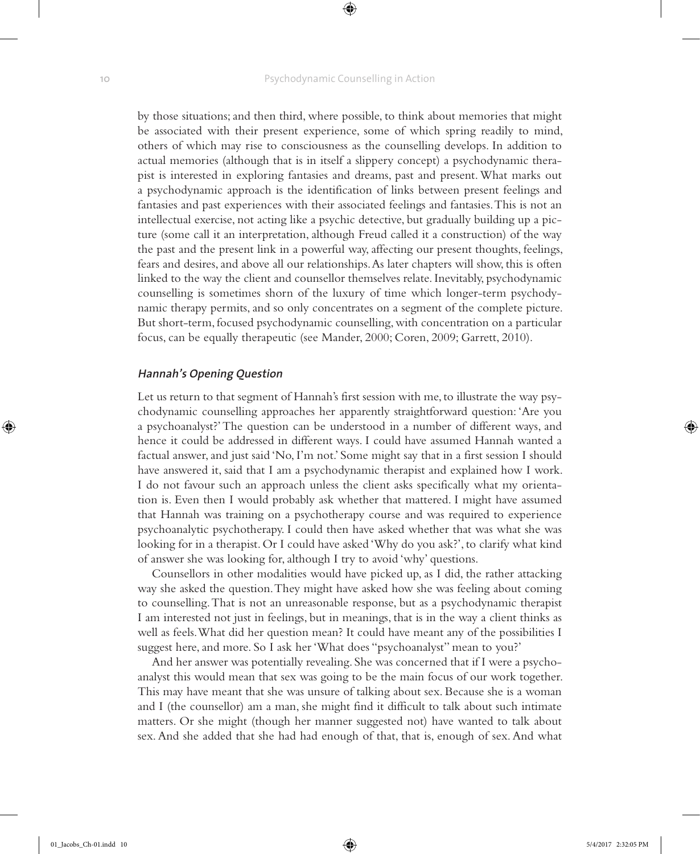by those situations; and then third, where possible, to think about memories that might be associated with their present experience, some of which spring readily to mind, others of which may rise to consciousness as the counselling develops. In addition to actual memories (although that is in itself a slippery concept) a psychodynamic therapist is interested in exploring fantasies and dreams, past and present. What marks out a psychodynamic approach is the identification of links between present feelings and fantasies and past experiences with their associated feelings and fantasies. This is not an intellectual exercise, not acting like a psychic detective, but gradually building up a picture (some call it an interpretation, although Freud called it a construction) of the way the past and the present link in a powerful way, affecting our present thoughts, feelings, fears and desires, and above all our relationships. As later chapters will show, this is often linked to the way the client and counsellor themselves relate. Inevitably, psychodynamic counselling is sometimes shorn of the luxury of time which longer-term psychodynamic therapy permits, and so only concentrates on a segment of the complete picture. But short-term, focused psychodynamic counselling, with concentration on a particular focus, can be equally therapeutic (see Mander, 2000; Coren, 2009; Garrett, 2010).

### **Hannah's Opening Question**

Let us return to that segment of Hannah's first session with me, to illustrate the way psychodynamic counselling approaches her apparently straightforward question: 'Are you a psychoanalyst?' The question can be understood in a number of different ways, and hence it could be addressed in different ways. I could have assumed Hannah wanted a factual answer, and just said 'No, I'm not.' Some might say that in a first session I should have answered it, said that I am a psychodynamic therapist and explained how I work. I do not favour such an approach unless the client asks specifically what my orientation is. Even then I would probably ask whether that mattered. I might have assumed that Hannah was training on a psychotherapy course and was required to experience psychoanalytic psychotherapy. I could then have asked whether that was what she was looking for in a therapist. Or I could have asked 'Why do you ask?', to clarify what kind of answer she was looking for, although I try to avoid 'why' questions.

Counsellors in other modalities would have picked up, as I did, the rather attacking way she asked the question. They might have asked how she was feeling about coming to counselling. That is not an unreasonable response, but as a psychodynamic therapist I am interested not just in feelings, but in meanings, that is in the way a client thinks as well as feels. What did her question mean? It could have meant any of the possibilities I suggest here, and more. So I ask her 'What does "psychoanalyst" mean to you?'

And her answer was potentially revealing. She was concerned that if I were a psychoanalyst this would mean that sex was going to be the main focus of our work together. This may have meant that she was unsure of talking about sex. Because she is a woman and I (the counsellor) am a man, she might find it difficult to talk about such intimate matters. Or she might (though her manner suggested not) have wanted to talk about sex. And she added that she had had enough of that, that is, enough of sex. And what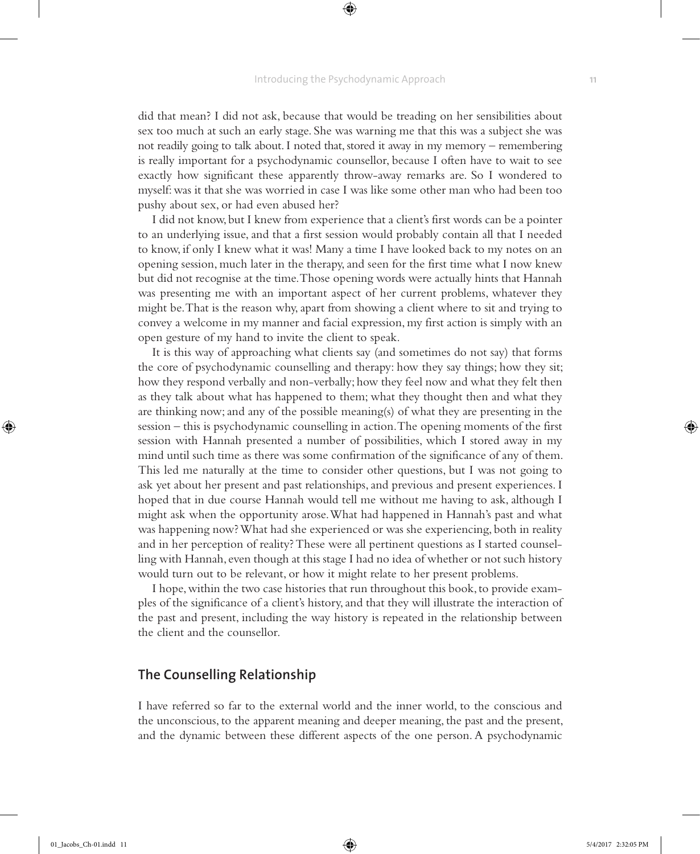did that mean? I did not ask, because that would be treading on her sensibilities about sex too much at such an early stage. She was warning me that this was a subject she was not readily going to talk about. I noted that, stored it away in my memory – remembering is really important for a psychodynamic counsellor, because I often have to wait to see exactly how significant these apparently throw-away remarks are. So I wondered to myself: was it that she was worried in case I was like some other man who had been too pushy about sex, or had even abused her?

I did not know, but I knew from experience that a client's first words can be a pointer to an underlying issue, and that a first session would probably contain all that I needed to know, if only I knew what it was! Many a time I have looked back to my notes on an opening session, much later in the therapy, and seen for the first time what I now knew but did not recognise at the time. Those opening words were actually hints that Hannah was presenting me with an important aspect of her current problems, whatever they might be. That is the reason why, apart from showing a client where to sit and trying to convey a welcome in my manner and facial expression, my first action is simply with an open gesture of my hand to invite the client to speak.

It is this way of approaching what clients say (and sometimes do not say) that forms the core of psychodynamic counselling and therapy: how they say things; how they sit; how they respond verbally and non-verbally; how they feel now and what they felt then as they talk about what has happened to them; what they thought then and what they are thinking now; and any of the possible meaning(s) of what they are presenting in the session – this is psychodynamic counselling in action. The opening moments of the first session with Hannah presented a number of possibilities, which I stored away in my mind until such time as there was some confirmation of the significance of any of them. This led me naturally at the time to consider other questions, but I was not going to ask yet about her present and past relationships, and previous and present experiences. I hoped that in due course Hannah would tell me without me having to ask, although I might ask when the opportunity arose. What had happened in Hannah's past and what was happening now? What had she experienced or was she experiencing, both in reality and in her perception of reality? These were all pertinent questions as I started counselling with Hannah, even though at this stage I had no idea of whether or not such history would turn out to be relevant, or how it might relate to her present problems.

I hope, within the two case histories that run throughout this book, to provide examples of the significance of a client's history, and that they will illustrate the interaction of the past and present, including the way history is repeated in the relationship between the client and the counsellor.

### **The Counselling Relationship**

I have referred so far to the external world and the inner world, to the conscious and the unconscious, to the apparent meaning and deeper meaning, the past and the present, and the dynamic between these different aspects of the one person. A psychodynamic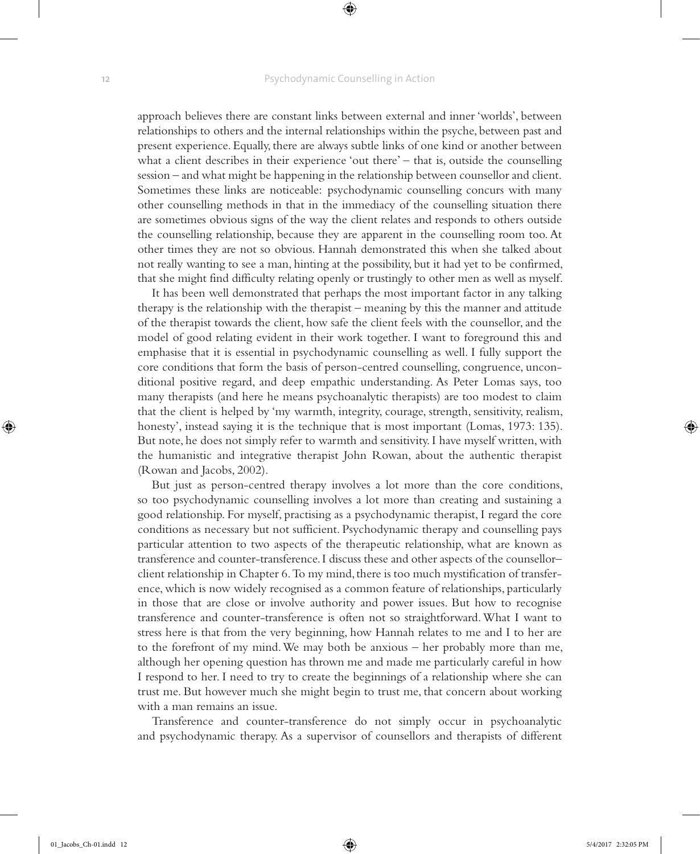approach believes there are constant links between external and inner 'worlds', between relationships to others and the internal relationships within the psyche, between past and present experience. Equally, there are always subtle links of one kind or another between what a client describes in their experience 'out there' – that is, outside the counselling session – and what might be happening in the relationship between counsellor and client. Sometimes these links are noticeable: psychodynamic counselling concurs with many other counselling methods in that in the immediacy of the counselling situation there are sometimes obvious signs of the way the client relates and responds to others outside the counselling relationship, because they are apparent in the counselling room too. At other times they are not so obvious. Hannah demonstrated this when she talked about not really wanting to see a man, hinting at the possibility, but it had yet to be confirmed, that she might find difficulty relating openly or trustingly to other men as well as myself.

It has been well demonstrated that perhaps the most important factor in any talking therapy is the relationship with the therapist – meaning by this the manner and attitude of the therapist towards the client, how safe the client feels with the counsellor, and the model of good relating evident in their work together. I want to foreground this and emphasise that it is essential in psychodynamic counselling as well. I fully support the core conditions that form the basis of person-centred counselling, congruence, unconditional positive regard, and deep empathic understanding. As Peter Lomas says, too many therapists (and here he means psychoanalytic therapists) are too modest to claim that the client is helped by 'my warmth, integrity, courage, strength, sensitivity, realism, honesty', instead saying it is the technique that is most important (Lomas, 1973: 135). But note, he does not simply refer to warmth and sensitivity. I have myself written, with the humanistic and integrative therapist John Rowan, about the authentic therapist (Rowan and Jacobs, 2002).

But just as person-centred therapy involves a lot more than the core conditions, so too psychodynamic counselling involves a lot more than creating and sustaining a good relationship. For myself, practising as a psychodynamic therapist, I regard the core conditions as necessary but not sufficient. Psychodynamic therapy and counselling pays particular attention to two aspects of the therapeutic relationship, what are known as transference and counter-transference. I discuss these and other aspects of the counsellor– client relationship in Chapter 6. To my mind, there is too much mystification of transference, which is now widely recognised as a common feature of relationships, particularly in those that are close or involve authority and power issues. But how to recognise transference and counter-transference is often not so straightforward. What I want to stress here is that from the very beginning, how Hannah relates to me and I to her are to the forefront of my mind. We may both be anxious – her probably more than me, although her opening question has thrown me and made me particularly careful in how I respond to her. I need to try to create the beginnings of a relationship where she can trust me. But however much she might begin to trust me, that concern about working with a man remains an issue.

Transference and counter-transference do not simply occur in psychoanalytic and psychodynamic therapy. As a supervisor of counsellors and therapists of different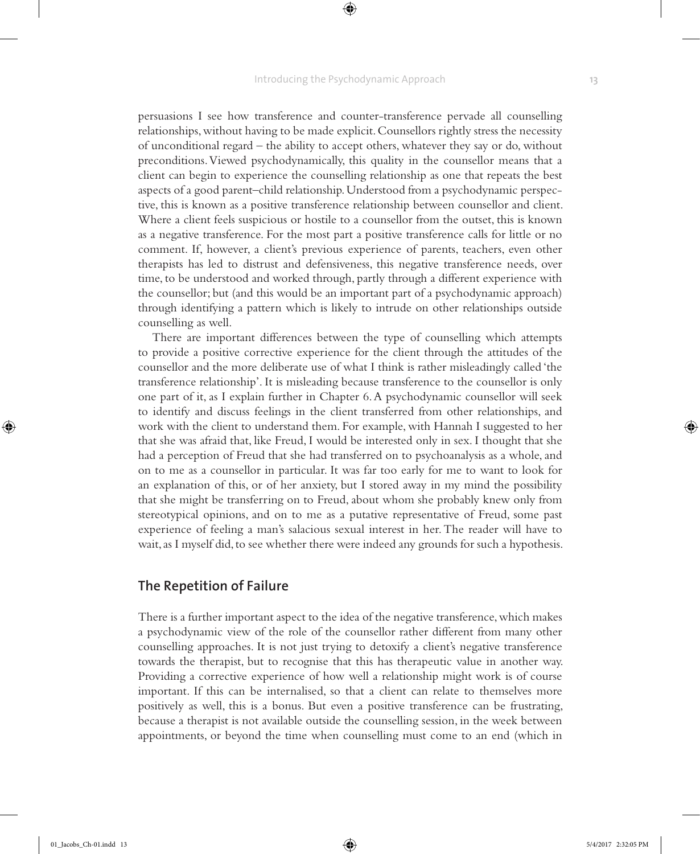persuasions I see how transference and counter-transference pervade all counselling relationships, without having to be made explicit. Counsellors rightly stress the necessity of unconditional regard – the ability to accept others, whatever they say or do, without preconditions. Viewed psychodynamically, this quality in the counsellor means that a client can begin to experience the counselling relationship as one that repeats the best aspects of a good parent–child relationship. Understood from a psychodynamic perspective, this is known as a positive transference relationship between counsellor and client. Where a client feels suspicious or hostile to a counsellor from the outset, this is known as a negative transference. For the most part a positive transference calls for little or no comment. If, however, a client's previous experience of parents, teachers, even other therapists has led to distrust and defensiveness, this negative transference needs, over time, to be understood and worked through, partly through a different experience with the counsellor; but (and this would be an important part of a psychodynamic approach) through identifying a pattern which is likely to intrude on other relationships outside counselling as well.

There are important differences between the type of counselling which attempts to provide a positive corrective experience for the client through the attitudes of the counsellor and the more deliberate use of what I think is rather misleadingly called 'the transference relationship'. It is misleading because transference to the counsellor is only one part of it, as I explain further in Chapter 6. A psychodynamic counsellor will seek to identify and discuss feelings in the client transferred from other relationships, and work with the client to understand them. For example, with Hannah I suggested to her that she was afraid that, like Freud, I would be interested only in sex. I thought that she had a perception of Freud that she had transferred on to psychoanalysis as a whole, and on to me as a counsellor in particular. It was far too early for me to want to look for an explanation of this, or of her anxiety, but I stored away in my mind the possibility that she might be transferring on to Freud, about whom she probably knew only from stereotypical opinions, and on to me as a putative representative of Freud, some past experience of feeling a man's salacious sexual interest in her. The reader will have to wait, as I myself did, to see whether there were indeed any grounds for such a hypothesis.

### **The Repetition of Failure**

There is a further important aspect to the idea of the negative transference, which makes a psychodynamic view of the role of the counsellor rather different from many other counselling approaches. It is not just trying to detoxify a client's negative transference towards the therapist, but to recognise that this has therapeutic value in another way. Providing a corrective experience of how well a relationship might work is of course important. If this can be internalised, so that a client can relate to themselves more positively as well, this is a bonus. But even a positive transference can be frustrating, because a therapist is not available outside the counselling session, in the week between appointments, or beyond the time when counselling must come to an end (which in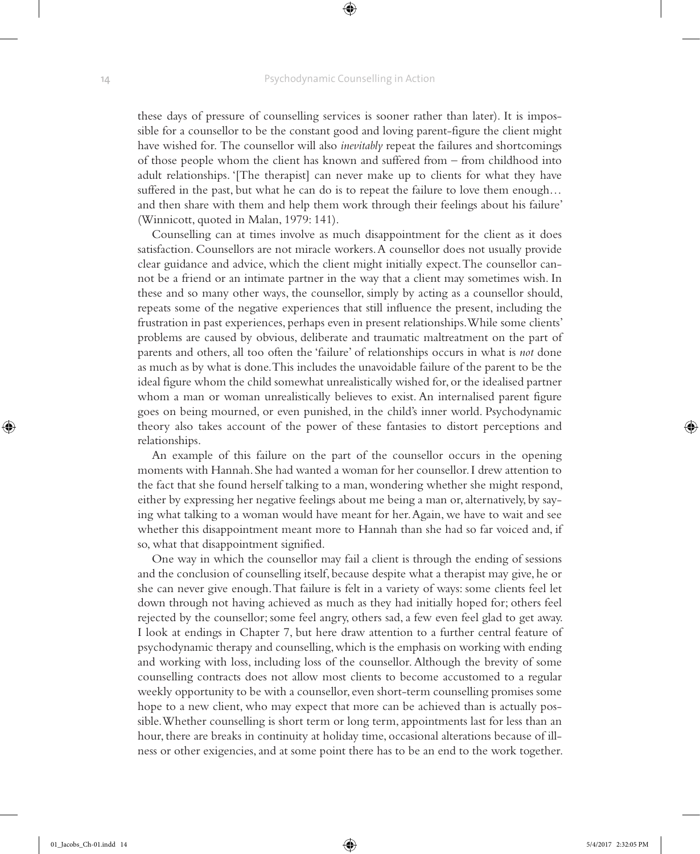these days of pressure of counselling services is sooner rather than later). It is impossible for a counsellor to be the constant good and loving parent-figure the client might have wished for. The counsellor will also *inevitably* repeat the failures and shortcomings of those people whom the client has known and suffered from – from childhood into adult relationships. '[The therapist] can never make up to clients for what they have suffered in the past, but what he can do is to repeat the failure to love them enough… and then share with them and help them work through their feelings about his failure' (Winnicott, quoted in Malan, 1979: 141).

Counselling can at times involve as much disappointment for the client as it does satisfaction. Counsellors are not miracle workers. A counsellor does not usually provide clear guidance and advice, which the client might initially expect. The counsellor cannot be a friend or an intimate partner in the way that a client may sometimes wish. In these and so many other ways, the counsellor, simply by acting as a counsellor should, repeats some of the negative experiences that still influence the present, including the frustration in past experiences, perhaps even in present relationships. While some clients' problems are caused by obvious, deliberate and traumatic maltreatment on the part of parents and others, all too often the 'failure' of relationships occurs in what is *not* done as much as by what is done. This includes the unavoidable failure of the parent to be the ideal figure whom the child somewhat unrealistically wished for, or the idealised partner whom a man or woman unrealistically believes to exist. An internalised parent figure goes on being mourned, or even punished, in the child's inner world. Psychodynamic theory also takes account of the power of these fantasies to distort perceptions and relationships.

An example of this failure on the part of the counsellor occurs in the opening moments with Hannah. She had wanted a woman for her counsellor. I drew attention to the fact that she found herself talking to a man, wondering whether she might respond, either by expressing her negative feelings about me being a man or, alternatively, by saying what talking to a woman would have meant for her. Again, we have to wait and see whether this disappointment meant more to Hannah than she had so far voiced and, if so, what that disappointment signified.

One way in which the counsellor may fail a client is through the ending of sessions and the conclusion of counselling itself, because despite what a therapist may give, he or she can never give enough. That failure is felt in a variety of ways: some clients feel let down through not having achieved as much as they had initially hoped for; others feel rejected by the counsellor; some feel angry, others sad, a few even feel glad to get away. I look at endings in Chapter 7, but here draw attention to a further central feature of psychodynamic therapy and counselling, which is the emphasis on working with ending and working with loss, including loss of the counsellor. Although the brevity of some counselling contracts does not allow most clients to become accustomed to a regular weekly opportunity to be with a counsellor, even short-term counselling promises some hope to a new client, who may expect that more can be achieved than is actually possible. Whether counselling is short term or long term, appointments last for less than an hour, there are breaks in continuity at holiday time, occasional alterations because of illness or other exigencies, and at some point there has to be an end to the work together.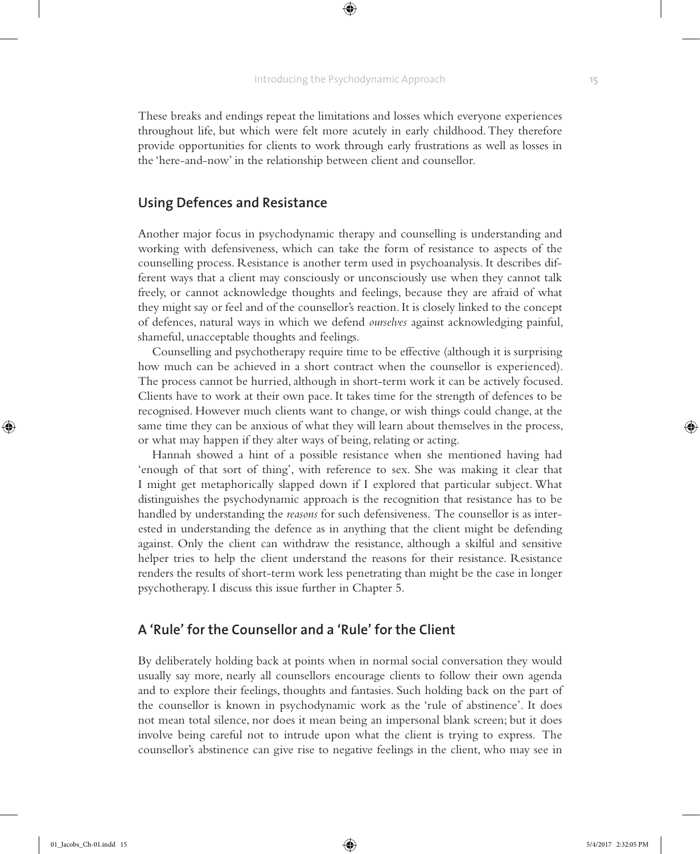⊕

These breaks and endings repeat the limitations and losses which everyone experiences throughout life, but which were felt more acutely in early childhood. They therefore provide opportunities for clients to work through early frustrations as well as losses in the 'here-and-now' in the relationship between client and counsellor.

# **Using Defences and Resistance**

Another major focus in psychodynamic therapy and counselling is understanding and working with defensiveness, which can take the form of resistance to aspects of the counselling process. Resistance is another term used in psychoanalysis. It describes different ways that a client may consciously or unconsciously use when they cannot talk freely, or cannot acknowledge thoughts and feelings, because they are afraid of what they might say or feel and of the counsellor's reaction. It is closely linked to the concept of defences, natural ways in which we defend *ourselves* against acknowledging painful, shameful, unacceptable thoughts and feelings.

Counselling and psychotherapy require time to be effective (although it is surprising how much can be achieved in a short contract when the counsellor is experienced). The process cannot be hurried, although in short-term work it can be actively focused. Clients have to work at their own pace. It takes time for the strength of defences to be recognised. However much clients want to change, or wish things could change, at the same time they can be anxious of what they will learn about themselves in the process, or what may happen if they alter ways of being, relating or acting.

Hannah showed a hint of a possible resistance when she mentioned having had 'enough of that sort of thing', with reference to sex. She was making it clear that I might get metaphorically slapped down if I explored that particular subject. What distinguishes the psychodynamic approach is the recognition that resistance has to be handled by understanding the *reasons* for such defensiveness. The counsellor is as interested in understanding the defence as in anything that the client might be defending against. Only the client can withdraw the resistance, although a skilful and sensitive helper tries to help the client understand the reasons for their resistance. Resistance renders the results of short-term work less penetrating than might be the case in longer psychotherapy. I discuss this issue further in Chapter 5.

### **A 'Rule' for the Counsellor and a 'Rule' for the Client**

By deliberately holding back at points when in normal social conversation they would usually say more, nearly all counsellors encourage clients to follow their own agenda and to explore their feelings, thoughts and fantasies. Such holding back on the part of the counsellor is known in psychodynamic work as the 'rule of abstinence'. It does not mean total silence, nor does it mean being an impersonal blank screen; but it does involve being careful not to intrude upon what the client is trying to express. The counsellor's abstinence can give rise to negative feelings in the client, who may see in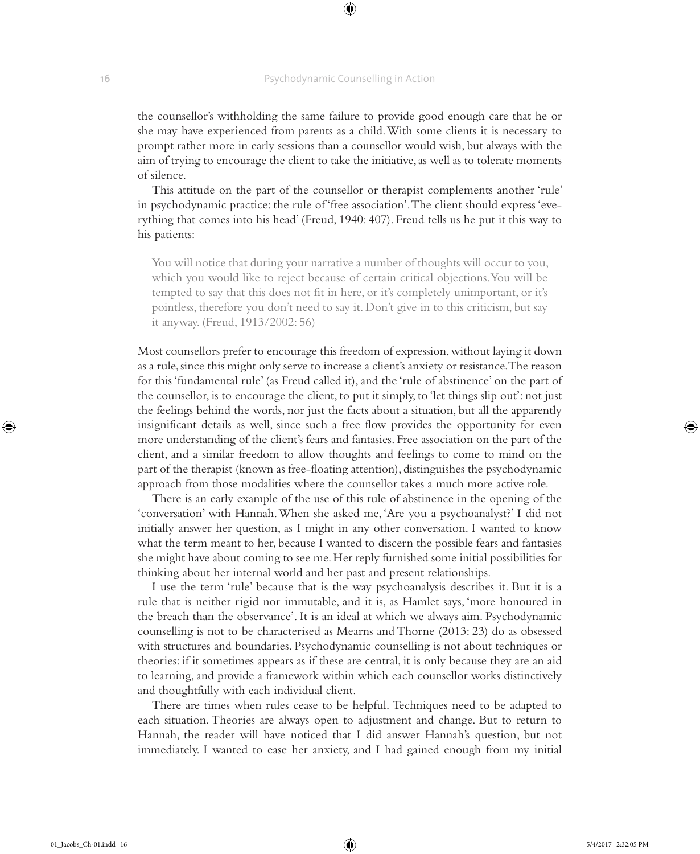#### **16** Psychodynamic Counselling in Action

⊕

the counsellor's withholding the same failure to provide good enough care that he or she may have experienced from parents as a child. With some clients it is necessary to prompt rather more in early sessions than a counsellor would wish, but always with the aim of trying to encourage the client to take the initiative, as well as to tolerate moments of silence.

This attitude on the part of the counsellor or therapist complements another 'rule' in psychodynamic practice: the rule of 'free association'. The client should express 'everything that comes into his head' (Freud, 1940: 407). Freud tells us he put it this way to his patients:

You will notice that during your narrative a number of thoughts will occur to you, which you would like to reject because of certain critical objections. You will be tempted to say that this does not fit in here, or it's completely unimportant, or it's pointless, therefore you don't need to say it. Don't give in to this criticism, but say it anyway. (Freud, 1913/2002: 56)

Most counsellors prefer to encourage this freedom of expression, without laying it down as a rule, since this might only serve to increase a client's anxiety or resistance. The reason for this 'fundamental rule' (as Freud called it), and the 'rule of abstinence' on the part of the counsellor, is to encourage the client, to put it simply, to 'let things slip out': not just the feelings behind the words, nor just the facts about a situation, but all the apparently insignificant details as well, since such a free flow provides the opportunity for even more understanding of the client's fears and fantasies. Free association on the part of the client, and a similar freedom to allow thoughts and feelings to come to mind on the part of the therapist (known as free-floating attention), distinguishes the psychodynamic approach from those modalities where the counsellor takes a much more active role.

There is an early example of the use of this rule of abstinence in the opening of the 'conversation' with Hannah. When she asked me, 'Are you a psychoanalyst?' I did not initially answer her question, as I might in any other conversation. I wanted to know what the term meant to her, because I wanted to discern the possible fears and fantasies she might have about coming to see me. Her reply furnished some initial possibilities for thinking about her internal world and her past and present relationships.

I use the term 'rule' because that is the way psychoanalysis describes it. But it is a rule that is neither rigid nor immutable, and it is, as Hamlet says, 'more honoured in the breach than the observance'. It is an ideal at which we always aim. Psychodynamic counselling is not to be characterised as Mearns and Thorne (2013: 23) do as obsessed with structures and boundaries. Psychodynamic counselling is not about techniques or theories: if it sometimes appears as if these are central, it is only because they are an aid to learning, and provide a framework within which each counsellor works distinctively and thoughtfully with each individual client.

There are times when rules cease to be helpful. Techniques need to be adapted to each situation. Theories are always open to adjustment and change. But to return to Hannah, the reader will have noticed that I did answer Hannah's question, but not immediately. I wanted to ease her anxiety, and I had gained enough from my initial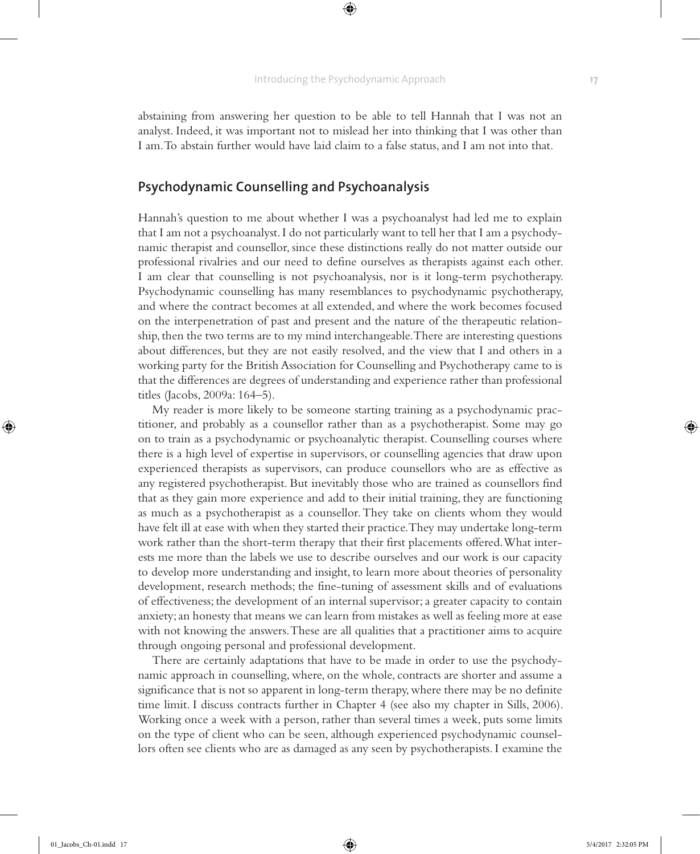⊕

abstaining from answering her question to be able to tell Hannah that I was not an analyst. Indeed, it was important not to mislead her into thinking that I was other than I am. To abstain further would have laid claim to a false status, and I am not into that.

# **Psychodynamic Counselling and Psychoanalysis**

Hannah's question to me about whether I was a psychoanalyst had led me to explain that I am not a psychoanalyst. I do not particularly want to tell her that I am a psychodynamic therapist and counsellor, since these distinctions really do not matter outside our professional rivalries and our need to define ourselves as therapists against each other. I am clear that counselling is not psychoanalysis, nor is it long-term psychotherapy. Psychodynamic counselling has many resemblances to psychodynamic psychotherapy, and where the contract becomes at all extended, and where the work becomes focused on the interpenetration of past and present and the nature of the therapeutic relationship, then the two terms are to my mind interchangeable. There are interesting questions about differences, but they are not easily resolved, and the view that I and others in a working party for the British Association for Counselling and Psychotherapy came to is that the differences are degrees of understanding and experience rather than professional titles (Jacobs, 2009a: 164–5).

My reader is more likely to be someone starting training as a psychodynamic practitioner, and probably as a counsellor rather than as a psychotherapist. Some may go on to train as a psychodynamic or psychoanalytic therapist. Counselling courses where there is a high level of expertise in supervisors, or counselling agencies that draw upon experienced therapists as supervisors, can produce counsellors who are as effective as any registered psychotherapist. But inevitably those who are trained as counsellors find that as they gain more experience and add to their initial training, they are functioning as much as a psychotherapist as a counsellor. They take on clients whom they would have felt ill at ease with when they started their practice. They may undertake long-term work rather than the short-term therapy that their first placements offered. What interests me more than the labels we use to describe ourselves and our work is our capacity to develop more understanding and insight, to learn more about theories of personality development, research methods; the fine-tuning of assessment skills and of evaluations of effectiveness; the development of an internal supervisor; a greater capacity to contain anxiety; an honesty that means we can learn from mistakes as well as feeling more at ease with not knowing the answers. These are all qualities that a practitioner aims to acquire through ongoing personal and professional development.

There are certainly adaptations that have to be made in order to use the psychodynamic approach in counselling, where, on the whole, contracts are shorter and assume a significance that is not so apparent in long-term therapy, where there may be no definite time limit. I discuss contracts further in Chapter 4 (see also my chapter in Sills, 2006). Working once a week with a person, rather than several times a week, puts some limits on the type of client who can be seen, although experienced psychodynamic counsellors often see clients who are as damaged as any seen by psychotherapists. I examine the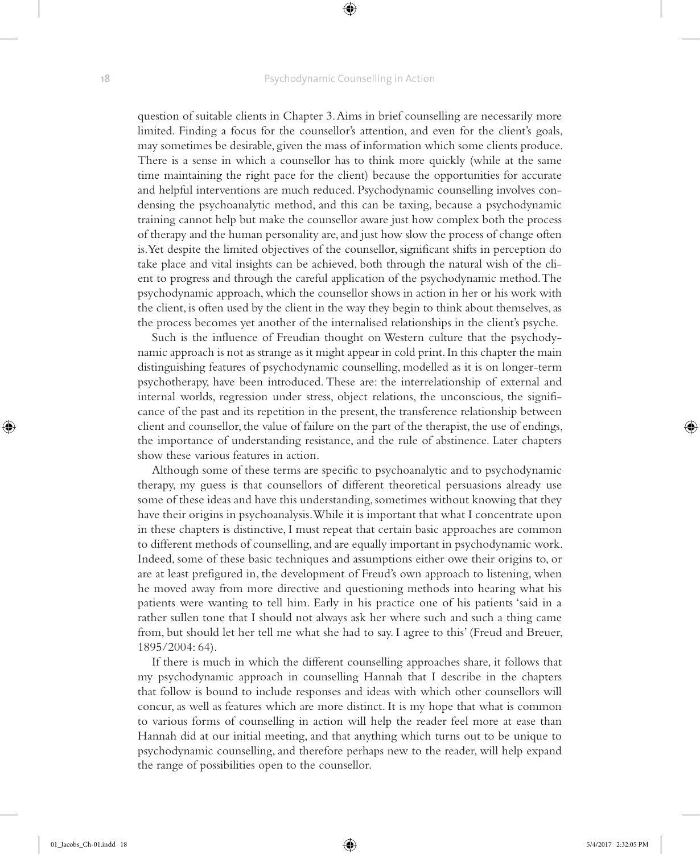#### **18** Psychodynamic Counselling in Action

⊕

question of suitable clients in Chapter 3. Aims in brief counselling are necessarily more limited. Finding a focus for the counsellor's attention, and even for the client's goals, may sometimes be desirable, given the mass of information which some clients produce. There is a sense in which a counsellor has to think more quickly (while at the same time maintaining the right pace for the client) because the opportunities for accurate and helpful interventions are much reduced. Psychodynamic counselling involves condensing the psychoanalytic method, and this can be taxing, because a psychodynamic training cannot help but make the counsellor aware just how complex both the process of therapy and the human personality are, and just how slow the process of change often is. Yet despite the limited objectives of the counsellor, significant shifts in perception do take place and vital insights can be achieved, both through the natural wish of the client to progress and through the careful application of the psychodynamic method. The psychodynamic approach, which the counsellor shows in action in her or his work with the client, is often used by the client in the way they begin to think about themselves, as the process becomes yet another of the internalised relationships in the client's psyche.

Such is the influence of Freudian thought on Western culture that the psychodynamic approach is not as strange as it might appear in cold print. In this chapter the main distinguishing features of psychodynamic counselling, modelled as it is on longer-term psychotherapy, have been introduced. These are: the interrelationship of external and internal worlds, regression under stress, object relations, the unconscious, the significance of the past and its repetition in the present, the transference relationship between client and counsellor, the value of failure on the part of the therapist, the use of endings, the importance of understanding resistance, and the rule of abstinence. Later chapters show these various features in action.

Although some of these terms are specific to psychoanalytic and to psychodynamic therapy, my guess is that counsellors of different theoretical persuasions already use some of these ideas and have this understanding, sometimes without knowing that they have their origins in psychoanalysis. While it is important that what I concentrate upon in these chapters is distinctive, I must repeat that certain basic approaches are common to different methods of counselling, and are equally important in psychodynamic work. Indeed, some of these basic techniques and assumptions either owe their origins to, or are at least prefigured in, the development of Freud's own approach to listening, when he moved away from more directive and questioning methods into hearing what his patients were wanting to tell him. Early in his practice one of his patients 'said in a rather sullen tone that I should not always ask her where such and such a thing came from, but should let her tell me what she had to say. I agree to this' (Freud and Breuer, 1895/2004: 64).

If there is much in which the different counselling approaches share, it follows that my psychodynamic approach in counselling Hannah that I describe in the chapters that follow is bound to include responses and ideas with which other counsellors will concur, as well as features which are more distinct. It is my hope that what is common to various forms of counselling in action will help the reader feel more at ease than Hannah did at our initial meeting, and that anything which turns out to be unique to psychodynamic counselling, and therefore perhaps new to the reader, will help expand the range of possibilities open to the counsellor.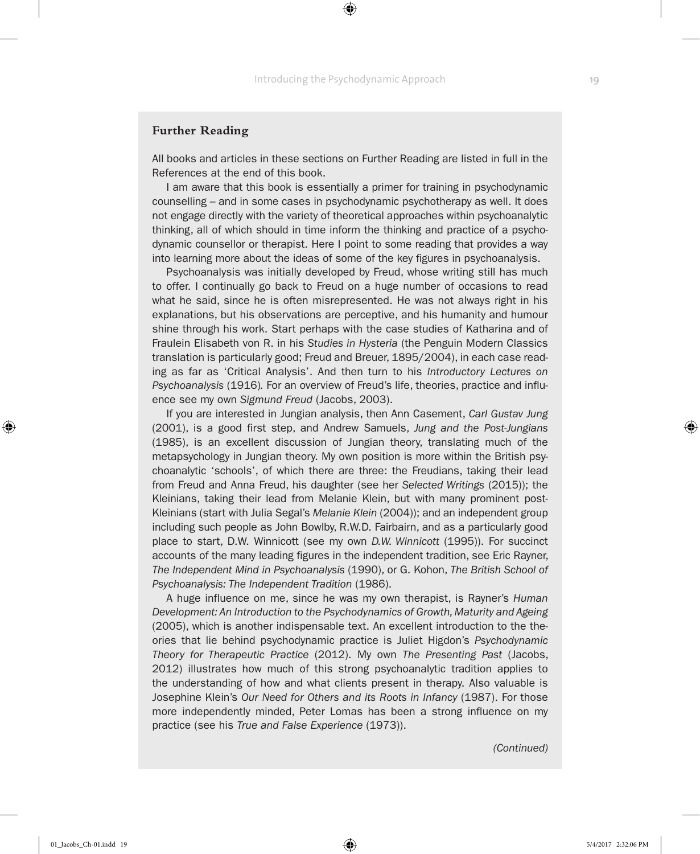### **Further Reading**

All books and articles in these sections on Further Reading are listed in full in the References at the end of this book.

I am aware that this book is essentially a primer for training in psychodynamic counselling – and in some cases in psychodynamic psychotherapy as well. It does not engage directly with the variety of theoretical approaches within psychoanalytic thinking, all of which should in time inform the thinking and practice of a psychodynamic counsellor or therapist. Here I point to some reading that provides a way into learning more about the ideas of some of the key figures in psychoanalysis.

Psychoanalysis was initially developed by Freud, whose writing still has much to offer. I continually go back to Freud on a huge number of occasions to read what he said, since he is often misrepresented. He was not always right in his explanations, but his observations are perceptive, and his humanity and humour shine through his work. Start perhaps with the case studies of Katharina and of Fraulein Elisabeth von R. in his *Studies in Hysteria* (the Penguin Modern Classics translation is particularly good; Freud and Breuer, 1895/2004), in each case reading as far as 'Critical Analysis'. And then turn to his *Introductory Lectures on Psychoanalysis* (1916)*.* For an overview of Freud's life, theories, practice and influence see my own *Sigmund Freud* (Jacobs, 2003).

If you are interested in Jungian analysis, then Ann Casement, *Carl Gustav Jung* (2001), is a good first step, and Andrew Samuels, *Jung and the Post-Jungians* (1985), is an excellent discussion of Jungian theory, translating much of the metapsychology in Jungian theory. My own position is more within the British psychoanalytic 'schools', of which there are three: the Freudians, taking their lead from Freud and Anna Freud, his daughter (see her *Selected Writings* (2015)); the Kleinians, taking their lead from Melanie Klein, but with many prominent post-Kleinians (start with Julia Segal's *Melanie Klein* (2004)); and an independent group including such people as John Bowlby, R.W.D. Fairbairn, and as a particularly good place to start, D.W. Winnicott (see my own *D.W. Winnicott* (1995)). For succinct accounts of the many leading figures in the independent tradition, see Eric Rayner, *The Independent Mind in Psychoanalysis* (1990), or G. Kohon, *The British School of Psychoanalysis: The Independent Tradition* (1986).

A huge influence on me, since he was my own therapist, is Rayner's *Human Development: An Introduction to the Psychodynamics of Growth, Maturity and Ageing* (2005), which is another indispensable text. An excellent introduction to the theories that lie behind psychodynamic practice is Juliet Higdon's *Psychodynamic Theory for Therapeutic Practice* (2012). My own *The Presenting Past* (Jacobs, 2012) illustrates how much of this strong psychoanalytic tradition applies to the understanding of how and what clients present in therapy. Also valuable is Josephine Klein's *Our Need for Others and its Roots in Infancy* (1987). For those more independently minded, Peter Lomas has been a strong influence on my practice (see his *True and False Experience* (1973)).

*(Continued)*

♠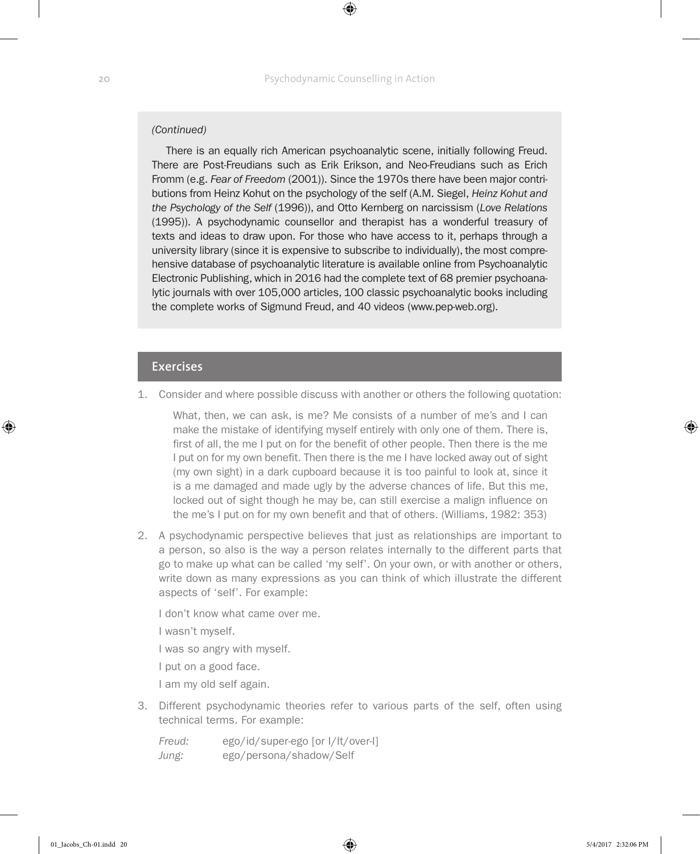### *(Continued)*

There is an equally rich American psychoanalytic scene, initially following Freud. There are Post-Freudians such as Erik Erikson, and Neo-Freudians such as Erich Fromm (e.g. *Fear of Freedom* (2001)). Since the 1970s there have been major contributions from Heinz Kohut on the psychology of the self (A.M. Siegel, *Heinz Kohut and the Psychology of the Self* (1996)), and Otto Kernberg on narcissism (*Love Relations* (1995)). A psychodynamic counsellor and therapist has a wonderful treasury of texts and ideas to draw upon. For those who have access to it, perhaps through a university library (since it is expensive to subscribe to individually), the most comprehensive database of psychoanalytic literature is available online from Psychoanalytic Electronic Publishing, which in 2016 had the complete text of 68 premier psychoanalytic journals with over 105,000 articles, 100 classic psychoanalytic books including the complete works of Sigmund Freud, and 40 videos (www.pep-web.org).

#### **Exercises**

1. Consider and where possible discuss with another or others the following quotation:

What, then, we can ask, is me? Me consists of a number of me's and I can make the mistake of identifying myself entirely with only one of them. There is, first of all, the me I put on for the benefit of other people. Then there is the me I put on for my own benefit. Then there is the me I have locked away out of sight (my own sight) in a dark cupboard because it is too painful to look at, since it is a me damaged and made ugly by the adverse chances of life. But this me, locked out of sight though he may be, can still exercise a malign influence on the me's I put on for my own benefit and that of others. (Williams, 1982: 353)

2. A psychodynamic perspective believes that just as relationships are important to a person, so also is the way a person relates internally to the different parts that go to make up what can be called 'my self'. On your own, or with another or others, write down as many expressions as you can think of which illustrate the different aspects of 'self'. For example:

I don't know what came over me.

I wasn't myself.

I was so angry with myself.

I put on a good face.

I am my old self again.

3. Different psychodynamic theories refer to various parts of the self, often using technical terms. For example:

*Freud:* ego/id/super-ego [or I/It/over-I] *Jung:* ego/persona/shadow/Self

♠